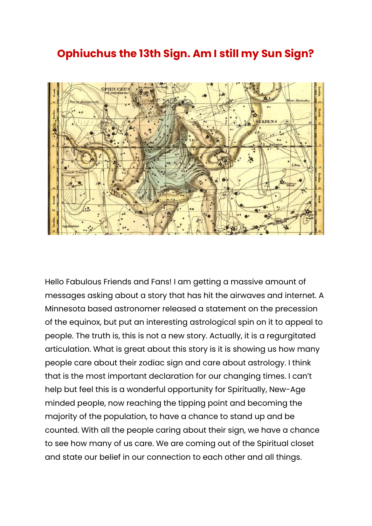## **Ophiuchus the 13th Sign. Am I still my Sun Sign?**



Hello Fabulous Friends and Fans! I am getting a massive amount of messages asking about a story that has hit the airwaves and internet. A Minnesota based astronomer released a statement on the precession of the equinox, but put an interesting astrological spin on it to appeal to people. The truth is, this is not a new story. Actually, it is a regurgitated articulation. What is great about this story is it is showing us how many people care about their zodiac sign and care about astrology. I think that is the most important declaration for our changing times. I can't help but feel this is a wonderful opportunity for Spiritually, New-Age minded people, now reaching the tipping point and becoming the majority of the population, to have a chance to stand up and be counted. With all the people caring about their sign, we have a chance to see how many of us care. We are coming out of the Spiritual closet and state our belief in our connection to each other and all things.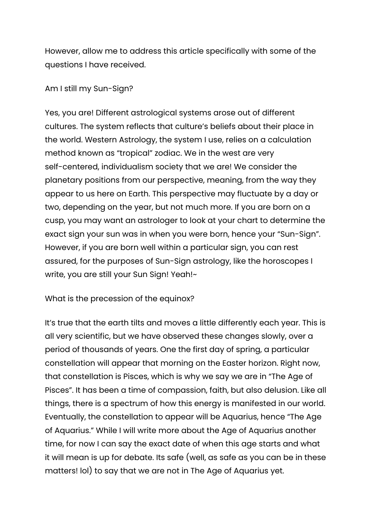However, allow me to address this article specifically with some of the questions I have received.

## Am I still my Sun-Sign?

Yes, you are! Different astrological systems arose out of different cultures. The system reflects that culture's beliefs about their place in the world. Western Astrology, the system I use, relies on a calculation method known as "tropical" zodiac. We in the west are very self-centered, individualism society that we are! We consider the planetary positions from our perspective, meaning, from the way they appear to us here on Earth. This perspective may fluctuate by a day or two, depending on the year, but not much more. If you are born on a cusp, you may want an astrologer to look at your chart to determine the exact sign your sun was in when you were born, hence your "Sun-Sign". However, if you are born well within a particular sign, you can rest assured, for the purposes of Sun-Sign astrology, like the horoscopes I write, you are still your Sun Sign! Yeah!~

What is the precession of the equinox?

It's true that the earth tilts and moves a little differently each year. This is all very scientific, but we have observed these changes slowly, over a period of thousands of years. One the first day of spring, a particular constellation will appear that morning on the Easter horizon. Right now, that constellation is Pisces, which is why we say we are in "The Age of Pisces". It has been a time of compassion, faith, but also delusion. Like all things, there is a spectrum of how this energy is manifested in our world. Eventually, the constellation to appear will be Aquarius, hence "The Age of Aquarius." While I will write more about the Age of Aquarius another time, for now I can say the exact date of when this age starts and what it will mean is up for debate. Its safe (well, as safe as you can be in these matters! lol) to say that we are not in The Age of Aquarius yet.